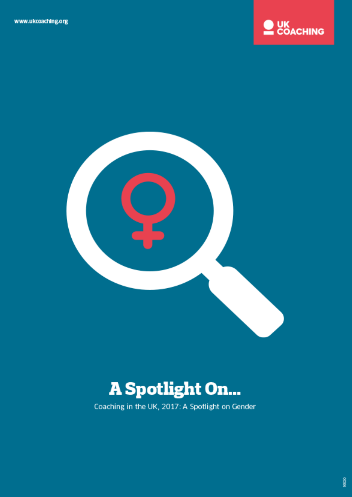



# **A Spotlight On...**

Coaching in the UK, 2017: A Spotlight on Gender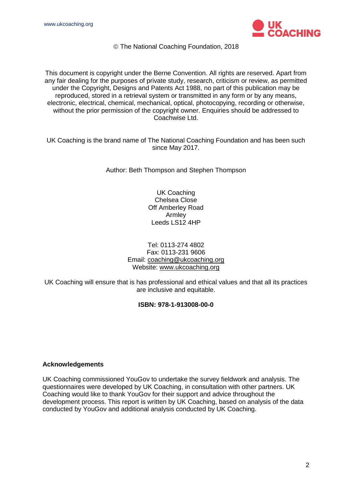

The National Coaching Foundation, 2018

This document is copyright under the Berne Convention. All rights are reserved. Apart from any fair dealing for the purposes of private study, research, criticism or review, as permitted under the Copyright, Designs and Patents Act 1988, no part of this publication may be reproduced, stored in a retrieval system or transmitted in any form or by any means, electronic, electrical, chemical, mechanical, optical, photocopying, recording or otherwise, without the prior permission of the copyright owner. Enquiries should be addressed to Coachwise Ltd.

UK Coaching is the brand name of The National Coaching Foundation and has been such since May 2017.

Author: Beth Thompson and Stephen Thompson

UK Coaching Chelsea Close Off Amberley Road Armley Leeds LS12 4HP

#### Tel: 0113-274 4802 Fax: 0113-231 9606 Email: [coaching@ukcoaching.org](mailto:coaching@ukcoaching.org) Website: [www.ukcoaching.org](http://www.ukcoaching.org/)

UK Coaching will ensure that is has professional and ethical values and that all its practices are inclusive and equitable.

#### **ISBN: 978-1-913008-00-0**

#### **Acknowledgements**

UK Coaching commissioned YouGov to undertake the survey fieldwork and analysis. The questionnaires were developed by UK Coaching, in consultation with other partners. UK Coaching would like to thank YouGov for their support and advice throughout the development process. This report is written by UK Coaching, based on analysis of the data conducted by YouGov and additional analysis conducted by UK Coaching.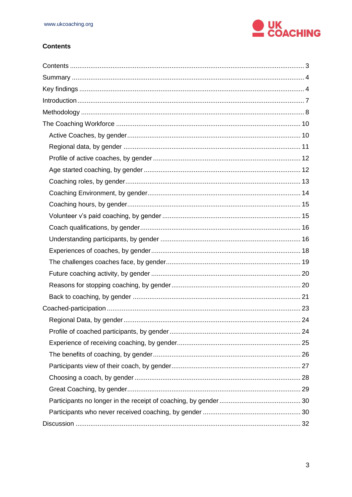

#### <span id="page-2-0"></span>**Contents**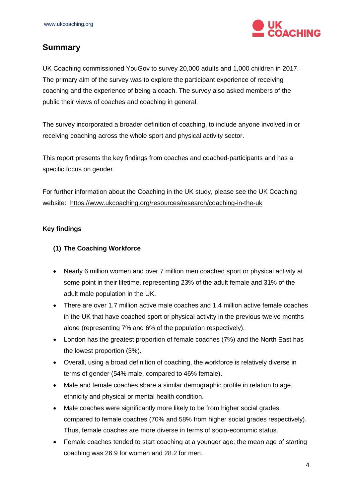

# <span id="page-3-0"></span>**Summary**

UK Coaching commissioned YouGov to survey 20,000 adults and 1,000 children in 2017. The primary aim of the survey was to explore the participant experience of receiving coaching and the experience of being a coach. The survey also asked members of the public their views of coaches and coaching in general.

The survey incorporated a broader definition of coaching, to include anyone involved in or receiving coaching across the whole sport and physical activity sector.

This report presents the key findings from coaches and coached-participants and has a specific focus on gender.

For further information about the Coaching in the UK study, please see the UK Coaching website: <https://www.ukcoaching.org/resources/research/coaching-in-the-uk>

#### <span id="page-3-1"></span>**Key findings**

#### **(1) The Coaching Workforce**

- Nearly 6 million women and over 7 million men coached sport or physical activity at some point in their lifetime, representing 23% of the adult female and 31% of the adult male population in the UK.
- There are over 1.7 million active male coaches and 1.4 million active female coaches in the UK that have coached sport or physical activity in the previous twelve months alone (representing 7% and 6% of the population respectively).
- London has the greatest proportion of female coaches (7%) and the North East has the lowest proportion (3%).
- Overall, using a broad definition of coaching, the workforce is relatively diverse in terms of gender (54% male, compared to 46% female).
- Male and female coaches share a similar demographic profile in relation to age, ethnicity and physical or mental health condition.
- Male coaches were significantly more likely to be from higher social grades, compared to female coaches (70% and 58% from higher social grades respectively). Thus, female coaches are more diverse in terms of socio-economic status.
- Female coaches tended to start coaching at a younger age: the mean age of starting coaching was 26.9 for women and 28.2 for men.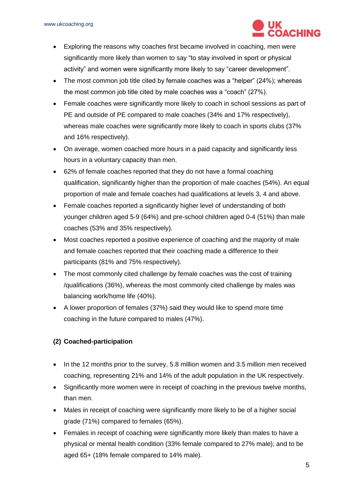

- Exploring the reasons why coaches first became involved in coaching, men were significantly more likely than women to say "to stay involved in sport or physical activity" and women were significantly more likely to say "career development".
- The most common job title cited by female coaches was a "helper" (24%); whereas the most common job title cited by male coaches was a "coach" (27%).
- Female coaches were significantly more likely to coach in school sessions as part of PE and outside of PE compared to male coaches (34% and 17% respectively), whereas male coaches were significantly more likely to coach in sports clubs (37% and 16% respectively).
- On average, women coached more hours in a paid capacity and significantly less hours in a voluntary capacity than men.
- 62% of female coaches reported that they do not have a formal coaching qualification, significantly higher than the proportion of male coaches (54%). An equal proportion of male and female coaches had qualifications at levels 3, 4 and above.
- Female coaches reported a significantly higher level of understanding of both younger children aged 5-9 (64%) and pre-school children aged 0-4 (51%) than male coaches (53% and 35% respectively).
- Most coaches reported a positive experience of coaching and the majority of male and female coaches reported that their coaching made a difference to their participants (81% and 75% respectively).
- The most commonly cited challenge by female coaches was the cost of training /qualifications (36%), whereas the most commonly cited challenge by males was balancing work/home life (40%).
- A lower proportion of females (37%) said they would like to spend more time coaching in the future compared to males (47%).

### **(2) Coached-participation**

- In the 12 months prior to the survey, 5.8 million women and 3.5 million men received coaching, representing 21% and 14% of the adult population in the UK respectively.
- Significantly more women were in receipt of coaching in the previous twelve months, than men.
- Males in receipt of coaching were significantly more likely to be of a higher social grade (71%) compared to females (65%).
- Females in receipt of coaching were significantly more likely than males to have a physical or mental health condition (33% female compared to 27% male); and to be aged 65+ (18% female compared to 14% male).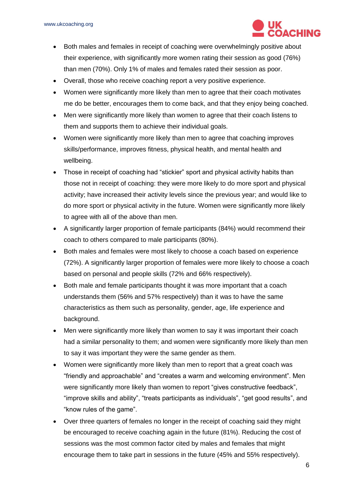

- Both males and females in receipt of coaching were overwhelmingly positive about their experience, with significantly more women rating their session as good (76%) than men (70%). Only 1% of males and females rated their session as poor.
- Overall, those who receive coaching report a very positive experience.
- Women were significantly more likely than men to agree that their coach motivates me do be better, encourages them to come back, and that they enjoy being coached.
- Men were significantly more likely than women to agree that their coach listens to them and supports them to achieve their individual goals.
- Women were significantly more likely than men to agree that coaching improves skills/performance, improves fitness, physical health, and mental health and wellbeing.
- Those in receipt of coaching had "stickier" sport and physical activity habits than those not in receipt of coaching: they were more likely to do more sport and physical activity; have increased their activity levels since the previous year; and would like to do more sport or physical activity in the future. Women were significantly more likely to agree with all of the above than men.
- A significantly larger proportion of female participants (84%) would recommend their coach to others compared to male participants (80%).
- Both males and females were most likely to choose a coach based on experience (72%). A significantly larger proportion of females were more likely to choose a coach based on personal and people skills (72% and 66% respectively).
- Both male and female participants thought it was more important that a coach understands them (56% and 57% respectively) than it was to have the same characteristics as them such as personality, gender, age, life experience and background.
- Men were significantly more likely than women to say it was important their coach had a similar personality to them; and women were significantly more likely than men to say it was important they were the same gender as them.
- Women were significantly more likely than men to report that a great coach was "friendly and approachable" and "creates a warm and welcoming environment". Men were significantly more likely than women to report "gives constructive feedback", "improve skills and ability", "treats participants as individuals", "get good results", and "know rules of the game".
- Over three quarters of females no longer in the receipt of coaching said they might be encouraged to receive coaching again in the future (81%). Reducing the cost of sessions was the most common factor cited by males and females that might encourage them to take part in sessions in the future (45% and 55% respectively).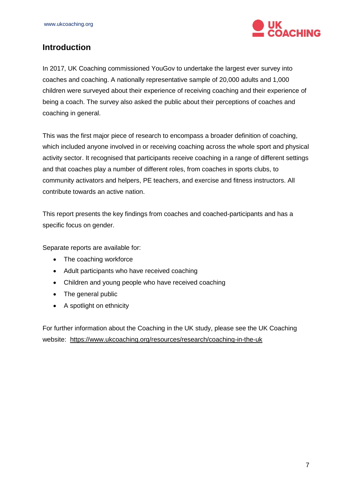

# <span id="page-6-0"></span>**Introduction**

In 2017, UK Coaching commissioned YouGov to undertake the largest ever survey into coaches and coaching. A nationally representative sample of 20,000 adults and 1,000 children were surveyed about their experience of receiving coaching and their experience of being a coach. The survey also asked the public about their perceptions of coaches and coaching in general.

This was the first major piece of research to encompass a broader definition of coaching, which included anyone involved in or receiving coaching across the whole sport and physical activity sector. It recognised that participants receive coaching in a range of different settings and that coaches play a number of different roles, from coaches in sports clubs, to community activators and helpers, PE teachers, and exercise and fitness instructors. All contribute towards an active nation.

This report presents the key findings from coaches and coached-participants and has a specific focus on gender.

Separate reports are available for:

- The coaching workforce
- Adult participants who have received coaching
- Children and young people who have received coaching
- The general public
- A spotlight on ethnicity

For further information about the Coaching in the UK study, please see the UK Coaching website: <https://www.ukcoaching.org/resources/research/coaching-in-the-uk>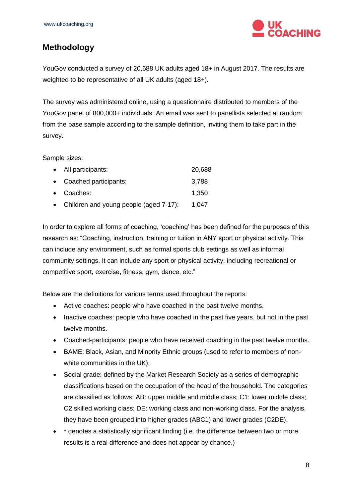

# <span id="page-7-0"></span>**Methodology**

YouGov conducted a survey of 20,688 UK adults aged 18+ in August 2017. The results are weighted to be representative of all UK adults (aged 18+).

The survey was administered online, using a questionnaire distributed to members of the YouGov panel of 800,000+ individuals. An email was sent to panellists selected at random from the base sample according to the sample definition, inviting them to take part in the survey.

Sample sizes:

| • All participants:                      | 20,688 |
|------------------------------------------|--------|
| • Coached participants:                  | 3,788  |
| • Coaches:                               | 1,350  |
| • Children and young people (aged 7-17): | 1,047  |

In order to explore all forms of coaching, 'coaching' has been defined for the purposes of this research as: "Coaching, instruction, training or tuition in ANY sport or physical activity. This can include any environment, such as formal sports club settings as well as informal community settings. It can include any sport or physical activity, including recreational or competitive sport, exercise, fitness, gym, dance, etc."

Below are the definitions for various terms used throughout the reports:

- Active coaches: people who have coached in the past twelve months.
- Inactive coaches: people who have coached in the past five years, but not in the past twelve months.
- Coached-participants: people who have received coaching in the past twelve months.
- BAME: Black, Asian, and Minority Ethnic groups (used to refer to members of nonwhite communities in the UK).
- Social grade: defined by the Market Research Society as a series of demographic classifications based on the occupation of the head of the household. The categories are classified as follows: AB: upper middle and middle class; C1: lower middle class; C2 skilled working class; DE: working class and non-working class. For the analysis, they have been grouped into higher grades (ABC1) and lower grades (C2DE).
- \* denotes a statistically significant finding (i.e. the difference between two or more results is a real difference and does not appear by chance.)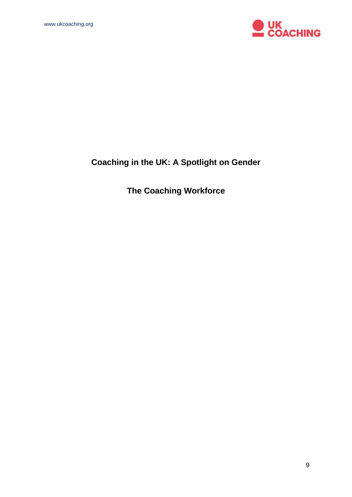

# **Coaching in the UK: A Spotlight on Gender**

**The Coaching Workforce**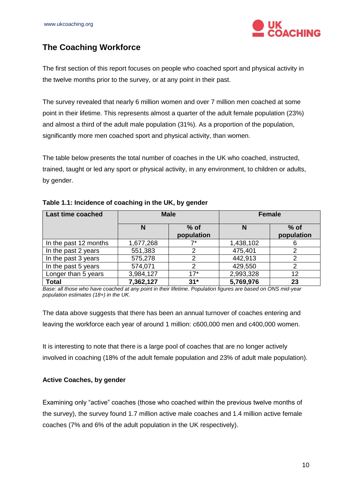

# <span id="page-9-0"></span>**The Coaching Workforce**

The first section of this report focuses on people who coached sport and physical activity in the twelve months prior to the survey, or at any point in their past.

The survey revealed that nearly 6 million women and over 7 million men coached at some point in their lifetime. This represents almost a quarter of the adult female population (23%) and almost a third of the adult male population (31%). As a proportion of the population, significantly more men coached sport and physical activity, than women.

The table below presents the total number of coaches in the UK who coached, instructed, trained, taught or led any sport or physical activity, in any environment, to children or adults, by gender.

| <b>Last time coached</b> | <b>Male</b> |                      |           | <b>Female</b>        |
|--------------------------|-------------|----------------------|-----------|----------------------|
|                          | N           | $%$ of<br>population | N         | $%$ of<br>population |
| In the past 12 months    | 1,677,268   | ⇁∗                   | 1,438,102 | 6                    |
| In the past 2 years      | 551,383     |                      | 475,401   |                      |
| In the past 3 years      | 575,278     |                      | 442,913   | 2                    |
| In the past 5 years      | 574,071     | ◠                    | 429,550   | 2                    |
| Longer than 5 years      | 3,984,127   | $17*$                | 2,993,328 | 12                   |
| <b>Total</b>             | 7,362,127   | $31*$                | 5,769,976 | 23                   |

#### **Table 1.1: Incidence of coaching in the UK, by gender**

*Base: all those who have coached at any point in their lifetime. Population figures are based on ONS mid-year population estimates (18+) in the UK.*

The data above suggests that there has been an annual turnover of coaches entering and leaving the workforce each year of around 1 million: c600,000 men and c400,000 women.

It is interesting to note that there is a large pool of coaches that are no longer actively involved in coaching (18% of the adult female population and 23% of adult male population).

#### <span id="page-9-1"></span>**Active Coaches, by gender**

Examining only "active" coaches (those who coached within the previous twelve months of the survey), the survey found 1.7 million active male coaches and 1.4 million active female coaches (7% and 6% of the adult population in the UK respectively).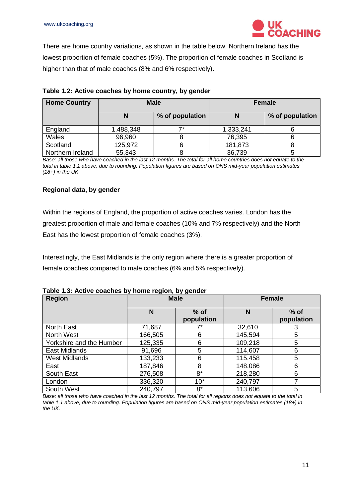

There are home country variations, as shown in the table below. Northern Ireland has the lowest proportion of female coaches (5%). The proportion of female coaches in Scotland is higher than that of male coaches (8% and 6% respectively).

| <b>Home Country</b> | <b>Male</b> |                 |           | <b>Female</b>   |
|---------------------|-------------|-----------------|-----------|-----------------|
|                     | N           | % of population | N         | % of population |
| England             | 1,488,348   | ⇁∗              | 1,333,241 |                 |
| Wales               | 96,960      |                 | 76,395    |                 |
| Scotland            | 125,972     |                 | 181,873   |                 |
| Northern Ireland    | 55,343      |                 | 36,739    |                 |

| Table 1.2: Active coaches by home country, by gender |  |  |
|------------------------------------------------------|--|--|
|------------------------------------------------------|--|--|

*Base: all those who have coached in the last 12 months. The total for all home countries does not equate to the total in table 1.1 above, due to rounding. Population figures are based on ONS mid-year population estimates (18+) in the UK*

#### <span id="page-10-0"></span>**Regional data, by gender**

Within the regions of England, the proportion of active coaches varies. London has the greatest proportion of male and female coaches (10% and 7% respectively) and the North East has the lowest proportion of female coaches (3%).

Interestingly, the East Midlands is the only region where there is a greater proportion of female coaches compared to male coaches (6% and 5% respectively).

#### **Table 1.3: Active coaches by home region, by gender**

| <b>Region</b>            | $\cdot$<br><b>Male</b> |                      | <b>Female</b> |                      |
|--------------------------|------------------------|----------------------|---------------|----------------------|
|                          | N                      | $%$ of<br>population | N             | $%$ of<br>population |
| <b>North East</b>        | 71,687                 | 7*                   | 32,610        | 3                    |
| North West               | 166,505                | 6                    | 145,594       | 5                    |
| Yorkshire and the Humber | 125,335                | 6                    | 109,218       | 5                    |
| East Midlands            | 91,696                 | 5                    | 114,607       | 6                    |
| <b>West Midlands</b>     | 133,233                | 6                    | 115,458       | 5                    |
| East                     | 187,846                | 8                    | 148,086       | 6                    |
| South East               | 276,508                | $8*$                 | 218,280       | 6                    |
| London                   | 336,320                | $10*$                | 240,797       |                      |
| South West               | 240,797                | $8*$                 | 113,606       | 5                    |

*Base: all those who have coached in the last 12 months. The total for all regions does not equate to the total in table 1.1 above, due to rounding. Population figures are based on ONS mid-year population estimates (18+) in the UK.*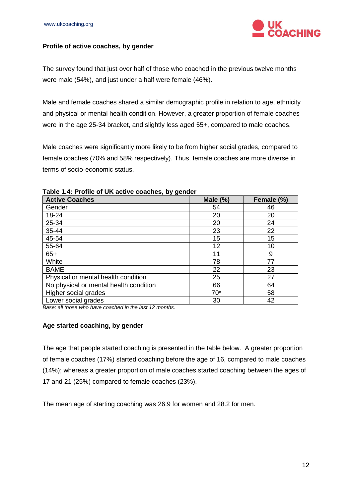

#### <span id="page-11-0"></span>**Profile of active coaches, by gender**

The survey found that just over half of those who coached in the previous twelve months were male (54%), and just under a half were female (46%).

Male and female coaches shared a similar demographic profile in relation to age, ethnicity and physical or mental health condition. However, a greater proportion of female coaches were in the age 25-34 bracket, and slightly less aged 55+, compared to male coaches.

Male coaches were significantly more likely to be from higher social grades, compared to female coaches (70% and 58% respectively). Thus, female coaches are more diverse in terms of socio-economic status.

| <b>Active Coaches</b>                  | Male $(\%)$ | Female (%) |
|----------------------------------------|-------------|------------|
| Gender                                 | 54          | 46         |
| 18-24                                  | 20          | 20         |
| 25-34                                  | 20          | 24         |
| 35-44                                  | 23          | 22         |
| 45-54                                  | 15          | 15         |
| 55-64                                  | 12          | 10         |
| $65+$                                  | 11          | 9          |
| White                                  | 78          | 77         |
| <b>BAME</b>                            | 22          | 23         |
| Physical or mental health condition    | 25          | 27         |
| No physical or mental health condition | 66          | 64         |
| Higher social grades                   | $70*$       | 58         |
| Lower social grades                    | 30          | 42         |

#### **Table 1.4: Profile of UK active coaches, by gender**

*Base: all those who have coached in the last 12 months.* 

#### <span id="page-11-1"></span>**Age started coaching, by gender**

The age that people started coaching is presented in the table below. A greater proportion of female coaches (17%) started coaching before the age of 16, compared to male coaches (14%); whereas a greater proportion of male coaches started coaching between the ages of 17 and 21 (25%) compared to female coaches (23%).

The mean age of starting coaching was 26.9 for women and 28.2 for men.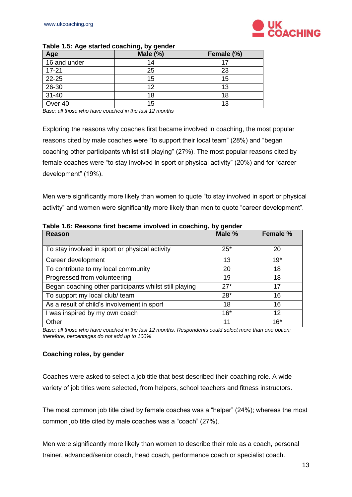

| Age          | .<br>Male $(\%)$ | Female (%) |
|--------------|------------------|------------|
| 16 and under | 14               |            |
| $17 - 21$    | 25               | 23         |
| 22-25        | 15               | 15         |
| 26-30        | 12               | 13         |
| $31 - 40$    | 18               | 18         |
| Over 40      | 15               | 13         |

#### **Table 1.5: Age started coaching, by gender**

*Base: all those who have coached in the last 12 months* 

Exploring the reasons why coaches first became involved in coaching, the most popular reasons cited by male coaches were "to support their local team" (28%) and "began coaching other participants whilst still playing" (27%). The most popular reasons cited by female coaches were "to stay involved in sport or physical activity" (20%) and for "career development" (19%).

Men were significantly more likely than women to quote "to stay involved in sport or physical activity" and women were significantly more likely than men to quote "career development".

| Reason                                                 | Male % | Female % |
|--------------------------------------------------------|--------|----------|
| To stay involved in sport or physical activity         | $25*$  | 20       |
| Career development                                     | 13     | $19*$    |
| To contribute to my local community                    | 20     | 18       |
| Progressed from volunteering                           | 19     | 18       |
| Began coaching other participants whilst still playing | $27*$  | 17       |
| To support my local club/ team                         | $28*$  | 16       |
| As a result of child's involvement in sport            | 18     | 16       |
| I was inspired by my own coach                         | $16*$  | 12       |
| Other                                                  | 11     | $16*$    |

**Table 1.6: Reasons first became involved in coaching, by gender**

*Base: all those who have coached in the last 12 months. Respondents could select more than one option; therefore, percentages do not add up to 100%*

#### <span id="page-12-0"></span>**Coaching roles, by gender**

Coaches were asked to select a job title that best described their coaching role. A wide variety of job titles were selected, from helpers, school teachers and fitness instructors.

The most common job title cited by female coaches was a "helper" (24%); whereas the most common job title cited by male coaches was a "coach" (27%).

Men were significantly more likely than women to describe their role as a coach, personal trainer, advanced/senior coach, head coach, performance coach or specialist coach.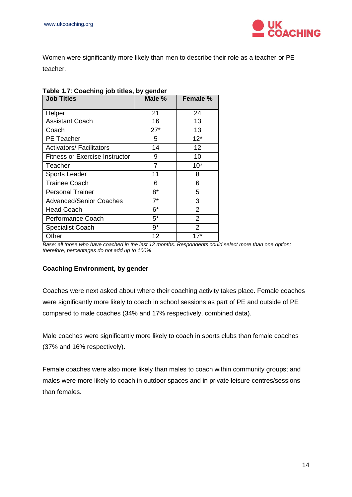

Women were significantly more likely than men to describe their role as a teacher or PE teacher.

| <b>Job Titles</b>                     | Male %         | Female %       |
|---------------------------------------|----------------|----------------|
| Helper                                | 21             | 24             |
| <b>Assistant Coach</b>                | 16             | 13             |
| Coach                                 | $27*$          | 13             |
| <b>PE</b> Teacher                     | 5              | $12*$          |
| <b>Activators/ Facilitators</b>       | 14             | 12             |
| <b>Fitness or Exercise Instructor</b> | 9              | 10             |
| Teacher                               | $\overline{7}$ | $10*$          |
| <b>Sports Leader</b>                  | 11             | 8              |
| <b>Trainee Coach</b>                  | 6              | 6              |
| <b>Personal Trainer</b>               | $8*$           | 5              |
| <b>Advanced/Senior Coaches</b>        | $7^*$          | 3              |
| <b>Head Coach</b>                     | 6*             | 2              |
| Performance Coach                     | $5^*$          | $\overline{2}$ |
| <b>Specialist Coach</b>               | $9*$           | $\overline{2}$ |
| Other                                 | 12             | $17*$          |

#### **Table 1.7**: **Coaching job titles, by gender**

**Base: all those who have coached in the last 12 months. Respondents could select more than one option;** *therefore, percentages do not add up to 100%*

#### <span id="page-13-0"></span>**Coaching Environment, by gender**

Coaches were next asked about where their coaching activity takes place. Female coaches were significantly more likely to coach in school sessions as part of PE and outside of PE compared to male coaches (34% and 17% respectively, combined data).

Male coaches were significantly more likely to coach in sports clubs than female coaches (37% and 16% respectively).

Female coaches were also more likely than males to coach within community groups; and males were more likely to coach in outdoor spaces and in private leisure centres/sessions than females.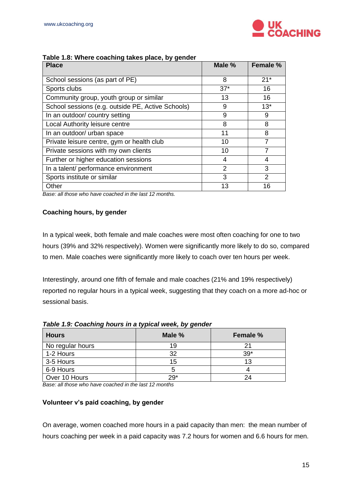

| <b>Place</b>                                      | Male % | Female %      |
|---------------------------------------------------|--------|---------------|
| School sessions (as part of PE)                   | 8      | $21*$         |
| Sports clubs                                      | $37*$  | 16            |
| Community group, youth group or similar           | 13     | 16            |
| School sessions (e.g. outside PE, Active Schools) | 9      | $13*$         |
| In an outdoor/ country setting                    | 9      | 9             |
| Local Authority leisure centre                    | 8      | 8             |
| In an outdoor/ urban space                        | 11     | 8             |
| Private leisure centre, gym or health club        | 10     |               |
| Private sessions with my own clients              | 10     |               |
| Further or higher education sessions              | 4      | 4             |
| In a talent/ performance environment              | 2      | 3             |
| Sports institute or similar                       | 3      | $\mathcal{P}$ |
| Other                                             | 13     | 16            |

#### **Table 1.8: Where coaching takes place, by gender**

*Base: all those who have coached in the last 12 months.* 

#### <span id="page-14-0"></span>**Coaching hours, by gender**

In a typical week, both female and male coaches were most often coaching for one to two hours (39% and 32% respectively). Women were significantly more likely to do so, compared to men. Male coaches were significantly more likely to coach over ten hours per week.

Interestingly, around one fifth of female and male coaches (21% and 19% respectively) reported no regular hours in a typical week, suggesting that they coach on a more ad-hoc or sessional basis.

| . .              | , , ,  |                 |
|------------------|--------|-----------------|
| <b>Hours</b>     | Male % | <b>Female %</b> |
| No regular hours | 19     |                 |
| 1-2 Hours        | 32     | $39*$           |
| 3-5 Hours        | 15     | 13              |
| 6-9 Hours        |        |                 |
| Over 10 Hours    | $29*$  | 9Δ              |

*Table 1.9: Coaching hours in a typical week, by gender*

*Base: all those who have coached in the last 12 months* 

#### <span id="page-14-1"></span>**Volunteer v's paid coaching, by gender**

On average, women coached more hours in a paid capacity than men: the mean number of hours coaching per week in a paid capacity was 7.2 hours for women and 6.6 hours for men.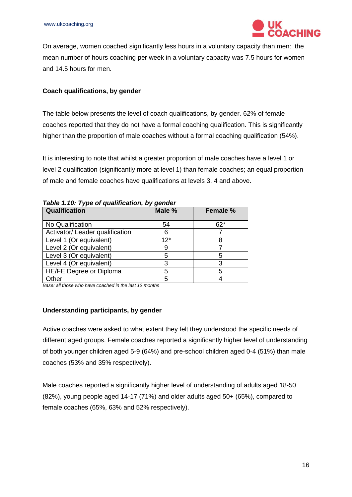

On average, women coached significantly less hours in a voluntary capacity than men: the mean number of hours coaching per week in a voluntary capacity was 7.5 hours for women and 14.5 hours for men.

#### <span id="page-15-0"></span>**Coach qualifications, by gender**

The table below presents the level of coach qualifications, by gender. 62% of female coaches reported that they do not have a formal coaching qualification. This is significantly higher than the proportion of male coaches without a formal coaching qualification (54%).

It is interesting to note that whilst a greater proportion of male coaches have a level 1 or level 2 qualification (significantly more at level 1) than female coaches; an equal proportion of male and female coaches have qualifications at levels 3, 4 and above.

| Qualification                   | Male % | <b>Female %</b> |
|---------------------------------|--------|-----------------|
| No Qualification                | 54     | $62*$           |
| Activator/ Leader qualification | 6      |                 |
| Level 1 (Or equivalent)         | $12*$  |                 |
| Level 2 (Or equivalent)         |        |                 |
| Level 3 (Or equivalent)         | 5      | 5               |
| Level 4 (Or equivalent)         | 3      | 3               |
| HE/FE Degree or Diploma         | 5      | 5               |
| Other                           | 5      |                 |

*Table 1.10: Type of qualification, by gender*

*Base: all those who have coached in the last 12 months* 

#### <span id="page-15-1"></span>**Understanding participants, by gender**

Active coaches were asked to what extent they felt they understood the specific needs of different aged groups. Female coaches reported a significantly higher level of understanding of both younger children aged 5-9 (64%) and pre-school children aged 0-4 (51%) than male coaches (53% and 35% respectively).

Male coaches reported a significantly higher level of understanding of adults aged 18-50 (82%), young people aged 14-17 (71%) and older adults aged 50+ (65%), compared to female coaches (65%, 63% and 52% respectively).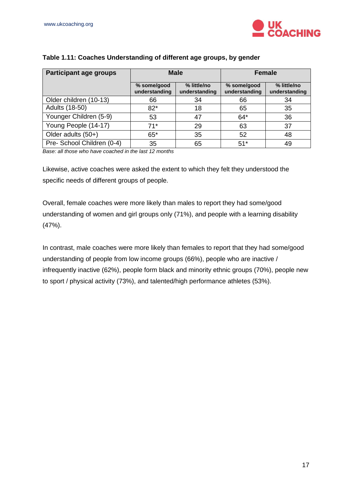

| <b>Participant age groups</b> | <b>Male</b>                  |                              | <b>Female</b>                |                              |
|-------------------------------|------------------------------|------------------------------|------------------------------|------------------------------|
|                               | % some/good<br>understanding | % little/no<br>understanding | % some/good<br>understanding | % little/no<br>understanding |
| Older children (10-13)        | 66                           | 34                           | 66                           | 34                           |
| Adults (18-50)                | $82*$                        | 18                           | 65                           | 35                           |
| Younger Children (5-9)        | 53                           | 47                           | $64*$                        | 36                           |
| Young People (14-17)          | $71*$                        | 29                           | 63                           | 37                           |
| Older adults (50+)            | $65*$                        | 35                           | 52                           | 48                           |
| Pre- School Children (0-4)    | 35                           | 65                           | $51*$                        | 49                           |

#### **Table 1.11: Coaches Understanding of different age groups, by gender**

*Base: all those who have coached in the last 12 months* 

Likewise, active coaches were asked the extent to which they felt they understood the specific needs of different groups of people.

Overall, female coaches were more likely than males to report they had some/good understanding of women and girl groups only (71%), and people with a learning disability (47%).

In contrast, male coaches were more likely than females to report that they had some/good understanding of people from low income groups (66%), people who are inactive / infrequently inactive (62%), people form black and minority ethnic groups (70%), people new to sport / physical activity (73%), and talented/high performance athletes (53%).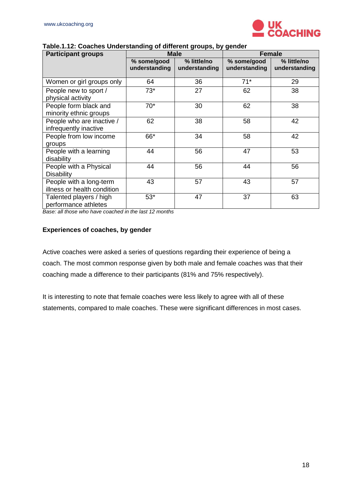

| <b>Participant groups</b>                              | <b>Male</b>                  |                              | <b>Female</b>                |                              |  |
|--------------------------------------------------------|------------------------------|------------------------------|------------------------------|------------------------------|--|
|                                                        | % some/good<br>understanding | % little/no<br>understanding | % some/good<br>understanding | % little/no<br>understanding |  |
| Women or girl groups only                              | 64                           | 36                           | $71*$                        | 29                           |  |
| People new to sport /<br>physical activity             | $73*$                        | 27                           | 62                           | 38                           |  |
| People form black and<br>minority ethnic groups        | $70*$                        | 30                           | 62                           | 38                           |  |
| People who are inactive /<br>infrequently inactive     | 62                           | 38                           | 58                           | 42                           |  |
| People from low income<br>groups                       | 66*                          | 34                           | 58                           | 42                           |  |
| People with a learning<br>disability                   | 44                           | 56                           | 47                           | 53                           |  |
| People with a Physical<br><b>Disability</b>            | 44                           | 56                           | 44                           | 56                           |  |
| People with a long-term<br>illness or health condition | 43                           | 57                           | 43                           | 57                           |  |
| Talented players / high<br>performance athletes        | $53*$                        | 47                           | 37                           | 63                           |  |

#### **Table.1.12: Coaches Understanding of different groups, by gender**

*Base: all those who have coached in the last 12 months* 

#### <span id="page-17-0"></span>**Experiences of coaches, by gender**

Active coaches were asked a series of questions regarding their experience of being a coach. The most common response given by both male and female coaches was that their coaching made a difference to their participants (81% and 75% respectively).

It is interesting to note that female coaches were less likely to agree with all of these statements, compared to male coaches. These were significant differences in most cases.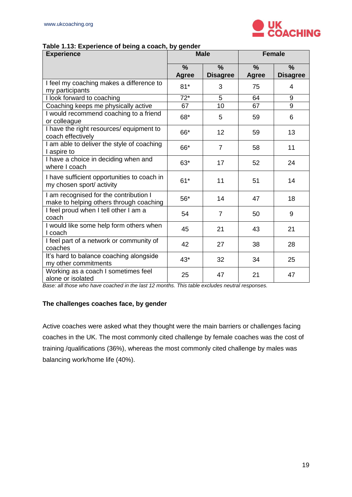

#### **Table 1.13: Experience of being a coach, by gender**

| <b>Experience</b>                                                                 |                               | <b>Male</b>                      | <b>Female</b>                 |                                  |
|-----------------------------------------------------------------------------------|-------------------------------|----------------------------------|-------------------------------|----------------------------------|
|                                                                                   | $\frac{9}{6}$<br><b>Agree</b> | $\frac{0}{0}$<br><b>Disagree</b> | $\frac{0}{0}$<br><b>Agree</b> | $\frac{0}{0}$<br><b>Disagree</b> |
| I feel my coaching makes a difference to<br>my participants                       | $81*$                         | 3                                | 75                            | $\overline{4}$                   |
| I look forward to coaching                                                        | $72*$                         | 5                                | 64                            | 9                                |
| Coaching keeps me physically active                                               | 67                            | 10                               | 67                            | 9                                |
| I would recommend coaching to a friend<br>or colleague                            | 68*                           | 5                                | 59                            | 6                                |
| I have the right resources/ equipment to<br>coach effectively                     | 66*                           | 12                               | 59                            | 13                               |
| I am able to deliver the style of coaching<br>I aspire to                         | 66*                           | $\overline{7}$                   | 58                            | 11                               |
| I have a choice in deciding when and<br>where I coach                             | $63*$                         | 17                               | 52                            | 24                               |
| I have sufficient opportunities to coach in<br>my chosen sport/activity           | $61*$                         | 11                               | 51                            | 14                               |
| I am recognised for the contribution I<br>make to helping others through coaching | $56*$                         | 14                               | 47                            | 18                               |
| I feel proud when I tell other I am a<br>coach                                    | 54                            | $\overline{7}$                   | 50                            | 9                                |
| I would like some help form others when<br>I coach                                | 45                            | 21                               | 43                            | 21                               |
| I feel part of a network or community of<br>coaches                               | 42                            | 27                               | 38                            | 28                               |
| It's hard to balance coaching alongside<br>my other commitments                   | $43*$                         | 32                               | 34                            | 25                               |
| Working as a coach I sometimes feel<br>alone or isolated                          | 25                            | 47                               | 21                            | 47                               |

*Base: all those who have coached in the last 12 months. This table excludes neutral responses.* 

#### <span id="page-18-0"></span>**The challenges coaches face, by gender**

Active coaches were asked what they thought were the main barriers or challenges facing coaches in the UK. The most commonly cited challenge by female coaches was the cost of training /qualifications (36%), whereas the most commonly cited challenge by males was balancing work/home life (40%).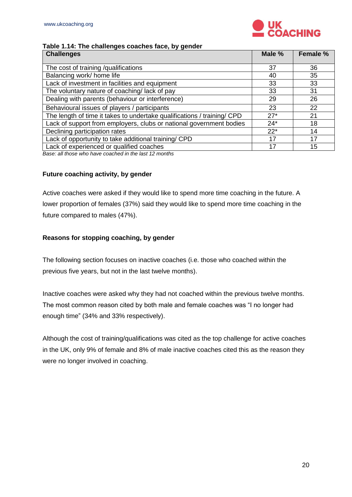

#### **Table 1.14: The challenges coaches face, by gender**

| <b>Challenges</b>                                                       | Male % | Female % |
|-------------------------------------------------------------------------|--------|----------|
|                                                                         |        |          |
| The cost of training /qualifications                                    | 37     | 36       |
| Balancing work/ home life                                               | 40     | 35       |
| Lack of investment in facilities and equipment                          | 33     | 33       |
| The voluntary nature of coaching/lack of pay                            | 33     | 31       |
| Dealing with parents (behaviour or interference)                        | 29     | 26       |
| Behavioural issues of players / participants                            | 23     | 22       |
| The length of time it takes to undertake qualifications / training/ CPD | $27*$  | 21       |
| Lack of support from employers, clubs or national government bodies     | $24*$  | 18       |
| Declining participation rates                                           | $22*$  | 14       |
| Lack of opportunity to take additional training/ CPD                    | 17     | 17       |
| Lack of experienced or qualified coaches                                | 17     | 15       |

*Base: all those who have coached in the last 12 months*

#### <span id="page-19-0"></span>**Future coaching activity, by gender**

Active coaches were asked if they would like to spend more time coaching in the future. A lower proportion of females (37%) said they would like to spend more time coaching in the future compared to males (47%).

#### <span id="page-19-1"></span>**Reasons for stopping coaching, by gender**

The following section focuses on inactive coaches (i.e. those who coached within the previous five years, but not in the last twelve months).

Inactive coaches were asked why they had not coached within the previous twelve months. The most common reason cited by both male and female coaches was "I no longer had enough time" (34% and 33% respectively).

Although the cost of training/qualifications was cited as the top challenge for active coaches in the UK, only 9% of female and 8% of male inactive coaches cited this as the reason they were no longer involved in coaching.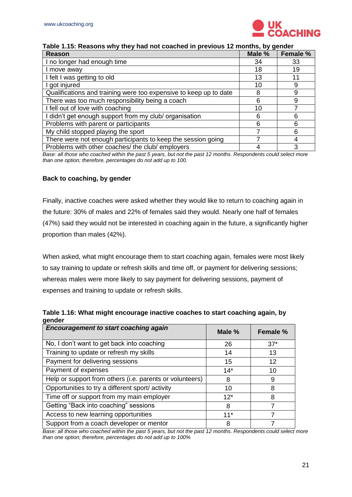

| Reason                                                            | Male % | Female % |
|-------------------------------------------------------------------|--------|----------|
| I no longer had enough time                                       | 34     | 33       |
| I move away                                                       | 18     | 19       |
| I felt I was getting to old                                       | 13     | 11       |
| I got injured                                                     | 10     | 9        |
| Qualifications and training were too expensive to keep up to date | 8      | 9        |
| There was too much responsibility being a coach                   | հ      | 9        |
| I fell out of love with coaching                                  | 10     |          |
| I didn't get enough support from my club/ organisation            |        | 6        |
| Problems with parent or participants                              |        | 6        |
| My child stopped playing the sport                                |        | 6        |
| There were not enough participants to keep the session going      |        |          |
| Problems with other coaches/ the club/ employers                  |        | 3        |

#### **Table 1.15: Reasons why they had not coached in previous 12 months, by gender**

*Base: all those who coached within the past 5 years, but not the past 12 months. Respondents could select more than one option; therefore, percentages do not add up to 100.*

#### <span id="page-20-0"></span>**Back to coaching, by gender**

Finally, inactive coaches were asked whether they would like to return to coaching again in the future: 30% of males and 22% of females said they would. Nearly one half of females (47%) said they would not be interested in coaching again in the future, a significantly higher proportion than males (42%).

When asked, what might encourage them to start coaching again, females were most likely to say training to update or refresh skills and time off, or payment for delivering sessions; whereas males were more likely to say payment for delivering sessions, payment of expenses and training to update or refresh skills.

| Table 1.16: What might encourage inactive coaches to start coaching again, by |  |
|-------------------------------------------------------------------------------|--|
| gender                                                                        |  |

| <b>Encouragement to start coaching again</b>             | Male % | Female % |
|----------------------------------------------------------|--------|----------|
| No, I don't want to get back into coaching               | 26     | $37*$    |
| Training to update or refresh my skills                  | 14     | 13       |
| Payment for delivering sessions                          | 15     | 12       |
| Payment of expenses                                      | $14*$  | 10       |
| Help or support from others (i.e. parents or volunteers) | 8      | 9        |
| Opportunities to try a different sport/activity          | 10     | 8        |
| Time off or support from my main employer                | $12*$  | 8        |
| Getting "Back into coaching" sessions                    | 8      | 7        |
| Access to new learning opportunities                     | $11*$  |          |
| Support from a coach developer or mentor                 | 8      |          |

*Base: all those who coached within the past 5 years, but not the past 12 months. Respondents could select more than one option; therefore, percentages do not add up to 100%*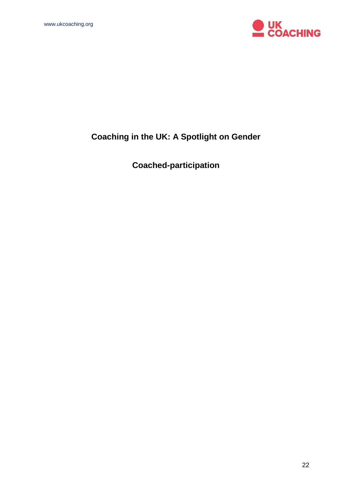

# **Coaching in the UK: A Spotlight on Gender**

**Coached-participation**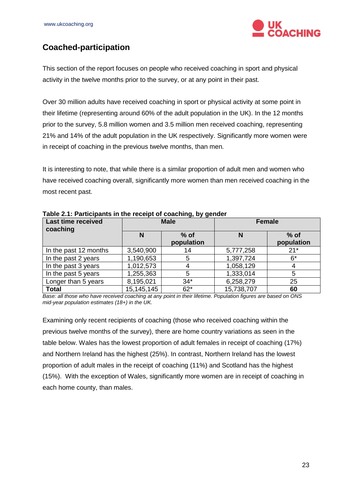

# <span id="page-22-0"></span>**Coached-participation**

This section of the report focuses on people who received coaching in sport and physical activity in the twelve months prior to the survey, or at any point in their past.

Over 30 million adults have received coaching in sport or physical activity at some point in their lifetime (representing around 60% of the adult population in the UK). In the 12 months prior to the survey, 5.8 million women and 3.5 million men received coaching, representing 21% and 14% of the adult population in the UK respectively. Significantly more women were in receipt of coaching in the previous twelve months, than men.

It is interesting to note, that while there is a similar proportion of adult men and women who have received coaching overall, significantly more women than men received coaching in the most recent past.

| <b>Last time received</b><br>coaching | <b>Male</b>  |                      | <b>Female</b> |                      |
|---------------------------------------|--------------|----------------------|---------------|----------------------|
|                                       | N            | $%$ of<br>population | N             | $%$ of<br>population |
| In the past 12 months                 | 3,540,900    |                      | 5,777,258     | $21*$                |
| In the past 2 years                   | 1,190,653    | 5                    | 1,397,724     | $6*$                 |
| In the past 3 years                   | 1,012,573    |                      | 1,058,129     | 4                    |
| In the past 5 years                   | 1,255,363    | 5                    | 1,333,014     | 5                    |
| Longer than 5 years                   | 8,195,021    | $34*$                | 6,258,279     | 25                   |
| <b>Total</b>                          | 15, 145, 145 | $62*$                | 15,738,707    | 60                   |

**Table 2.1: Participants in the receipt of coaching, by gender**

*Base: all those who have received coaching at any point in their lifetime. Population figures are based on ONS mid-year population estimates (18+) in the UK.*

Examining only recent recipients of coaching (those who received coaching within the previous twelve months of the survey), there are home country variations as seen in the table below. Wales has the lowest proportion of adult females in receipt of coaching (17%) and Northern Ireland has the highest (25%). In contrast, Northern Ireland has the lowest proportion of adult males in the receipt of coaching (11%) and Scotland has the highest (15%). With the exception of Wales, significantly more women are in receipt of coaching in each home county, than males.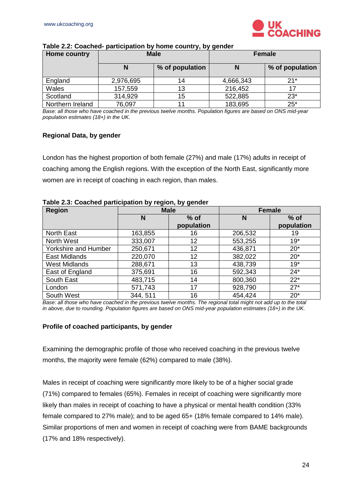

| <b>Home country</b> | <b>Male</b> |                 |           | <b>Female</b>   |
|---------------------|-------------|-----------------|-----------|-----------------|
|                     | N           | % of population | N         | % of population |
| England             | 2,976,695   | 14              | 4,666,343 | $21*$           |
| Wales               | 157,559     | 13              | 216,452   |                 |
| Scotland            | 314,929     | 15              | 522,885   | $23*$           |
| Northern Ireland    | 76,097      |                 | 183,695   | $25*$           |

#### **Table 2.2: Coached- participation by home country, by gender**

*Base: all those who have coached in the previous twelve months. Population figures are based on ONS mid-year population estimates (18+) in the UK.*

#### <span id="page-23-0"></span>**Regional Data, by gender**

London has the highest proportion of both female (27%) and male (17%) adults in receipt of coaching among the English regions. With the exception of the North East, significantly more women are in receipt of coaching in each region, than males.

|  |  | Table 2.3: Coached participation by region, by gender |
|--|--|-------------------------------------------------------|
|  |  |                                                       |

| <b>Region</b>        | <b>Male</b> |            |         | <b>Female</b> |
|----------------------|-------------|------------|---------|---------------|
|                      | N           | $%$ of     | N       | $%$ of        |
|                      |             | population |         | population    |
| <b>North East</b>    | 163,855     | 16         | 206,532 | 19            |
| North West           | 333,007     | 12         | 553,255 | $19*$         |
| Yorkshire and Humber | 250,671     | 12         | 436,871 | $20*$         |
| <b>East Midlands</b> | 220,070     | 12         | 382,022 | $20*$         |
| <b>West Midlands</b> | 288,671     | 13         | 438,739 | $19*$         |
| East of England      | 375,691     | 16         | 592,343 | $24*$         |
| South East           | 483,715     | 14         | 800,360 | $22*$         |
| London               | 571,743     | 17         | 928,790 | $27*$         |
| South West           | 344, 511    | 16         | 454,424 | $20*$         |

*Base: all those who have coached in the previous twelve months. The regional total might not add up to the total in above, due to rounding. Population figures are based on ONS mid-year population estimates (18+) in the UK.*

#### <span id="page-23-1"></span>**Profile of coached participants, by gender**

Examining the demographic profile of those who received coaching in the previous twelve months, the majority were female (62%) compared to male (38%).

Males in receipt of coaching were significantly more likely to be of a higher social grade (71%) compared to females (65%). Females in receipt of coaching were significantly more likely than males in receipt of coaching to have a physical or mental health condition (33% female compared to 27% male); and to be aged 65+ (18% female compared to 14% male). Similar proportions of men and women in receipt of coaching were from BAME backgrounds (17% and 18% respectively).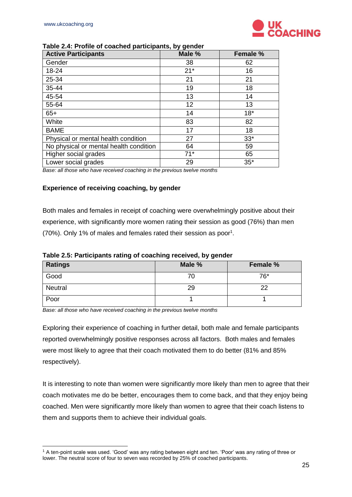

#### **Table 2.4: Profile of coached participants, by gender**

| <b>Active Participants</b>             | Male % | Female % |
|----------------------------------------|--------|----------|
| Gender                                 | 38     | 62       |
| 18-24                                  | $21*$  | 16       |
| 25-34                                  | 21     | 21       |
| 35-44                                  | 19     | 18       |
| 45-54                                  | 13     | 14       |
| 55-64                                  | 12     | 13       |
| $65+$                                  | 14     | $18*$    |
| White                                  | 83     | 82       |
| <b>BAME</b>                            | 17     | 18       |
| Physical or mental health condition    | 27     | $33*$    |
| No physical or mental health condition | 64     | 59       |
| Higher social grades                   | $71*$  | 65       |
| Lower social grades                    | 29     | $35*$    |

*Base: all those who have received coaching in the previous twelve months*

#### <span id="page-24-0"></span>**Experience of receiving coaching, by gender**

Both males and females in receipt of coaching were overwhelmingly positive about their experience, with significantly more women rating their session as good (76%) than men (70%). Only 1% of males and females rated their session as poor<sup>1</sup>.

| Table 2.5: Participants rating of coaching received, by gender |  |  |  |  |
|----------------------------------------------------------------|--|--|--|--|
|----------------------------------------------------------------|--|--|--|--|

| <b>Ratings</b> | Male % | <b>Female %</b> |
|----------------|--------|-----------------|
| Good           | 70     | $76*$           |
| Neutral        | 29     | 22              |
| Poor           |        |                 |

*Base: all those who have received coaching in the previous twelve months*

Exploring their experience of coaching in further detail, both male and female participants reported overwhelmingly positive responses across all factors. Both males and females were most likely to agree that their coach motivated them to do better (81% and 85% respectively).

It is interesting to note than women were significantly more likely than men to agree that their coach motivates me do be better, encourages them to come back, and that they enjoy being coached. Men were significantly more likely than women to agree that their coach listens to them and supports them to achieve their individual goals.

<sup>-</sup><sup>1</sup> A ten-point scale was used. 'Good' was any rating between eight and ten. 'Poor' was any rating of three or lower. The neutral score of four to seven was recorded by 25% of coached participants.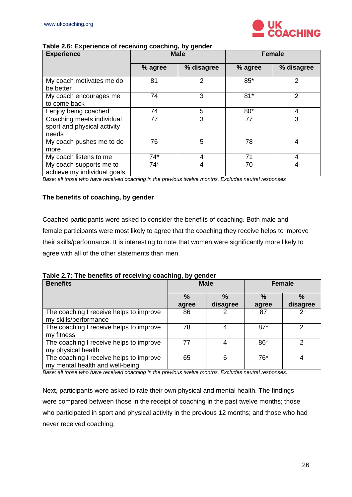

| Table 2.6: Experience of receiving coaching, by gender |  |  |
|--------------------------------------------------------|--|--|
|                                                        |  |  |

| <b>Experience</b>                                                 | <b>Male</b> |            | <b>Female</b> |                |
|-------------------------------------------------------------------|-------------|------------|---------------|----------------|
|                                                                   | % agree     | % disagree | % agree       | % disagree     |
| My coach motivates me do<br>be better                             | 81          | 2          | 85*           | 2              |
| My coach encourages me<br>to come back                            | 74          | 3          | $81*$         | 2              |
| I enjoy being coached                                             | 74          | 5          | $80*$         | 4              |
| Coaching meets individual<br>sport and physical activity<br>needs | 77          | 3          | 77            | 3              |
| My coach pushes me to do<br>more                                  | 76          | 5          | 78            | 4              |
| My coach listens to me                                            | $74*$       | 4          | 71            | 4              |
| My coach supports me to<br>achieve my individual goals            | $74*$       | 4          | 70            | $\overline{4}$ |

*Base: all those who have received coaching in the previous twelve months. Excludes neutral responses*

#### <span id="page-25-0"></span>**The benefits of coaching, by gender**

Coached participants were asked to consider the benefits of coaching. Both male and female participants were most likely to agree that the coaching they receive helps to improve their skills/performance. It is interesting to note that women were significantly more likely to agree with all of the other statements than men.

**Table 2.7: The benefits of receiving coaching, by gender**

| <b>Benefits</b>                                                            | <b>Male</b>            |                           | <b>Female</b>          |               |
|----------------------------------------------------------------------------|------------------------|---------------------------|------------------------|---------------|
|                                                                            | $\frac{0}{0}$<br>agree | $\frac{9}{6}$<br>disagree | $\frac{0}{2}$<br>agree | %<br>disagree |
| The coaching I receive helps to improve<br>my skills/performance           | 86                     |                           | 87                     | 2             |
| The coaching I receive helps to improve<br>my fitness                      | 78                     |                           | $87*$                  | 2             |
| The coaching I receive helps to improve<br>my physical health              | 77                     |                           | 86*                    | 2             |
| The coaching I receive helps to improve<br>my mental health and well-being | 65                     | 6                         | 76*                    | 4             |

*Base: all those who have received coaching in the previous twelve months. Excludes neutral responses.*

Next, participants were asked to rate their own physical and mental health. The findings were compared between those in the receipt of coaching in the past twelve months; those who participated in sport and physical activity in the previous 12 months; and those who had never received coaching.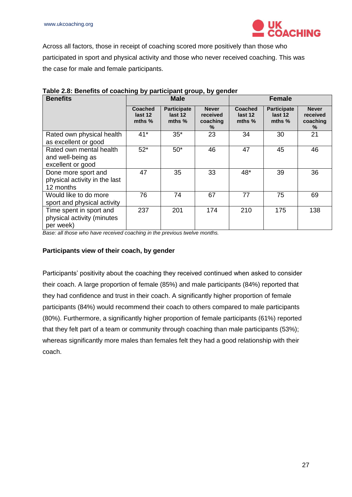

Across all factors, those in receipt of coaching scored more positively than those who participated in sport and physical activity and those who never received coaching. This was the case for male and female participants.

| <b>Benefits</b>                                                    |                                       | <b>Male</b><br><b>Female</b>            |                                           |                                       |                                           |                                              |  |
|--------------------------------------------------------------------|---------------------------------------|-----------------------------------------|-------------------------------------------|---------------------------------------|-------------------------------------------|----------------------------------------------|--|
|                                                                    | <b>Coached</b><br>last 12<br>mths $%$ | <b>Participate</b><br>last 12<br>mths % | <b>Never</b><br>received<br>coaching<br>% | <b>Coached</b><br>last 12<br>mths $%$ | <b>Participate</b><br>last 12<br>mths $%$ | <b>Never</b><br>received<br>coaching<br>$\%$ |  |
| Rated own physical health<br>as excellent or good                  | $41*$                                 | $35*$                                   | 23                                        | 34                                    | 30                                        | 21                                           |  |
| Rated own mental health<br>and well-being as<br>excellent or good  | $52*$                                 | $50*$                                   | 46                                        | 47                                    | 45                                        | 46                                           |  |
| Done more sport and<br>physical activity in the last<br>12 months  | 47                                    | 35                                      | 33                                        | 48*                                   | 39                                        | 36                                           |  |
| Would like to do more<br>sport and physical activity               | 76                                    | 74                                      | 67                                        | 77                                    | 75                                        | 69                                           |  |
| Time spent in sport and<br>physical activity (minutes<br>per week) | 237                                   | 201                                     | 174                                       | 210                                   | 175                                       | 138                                          |  |

| Table 2.8: Benefits of coaching by participant group, by gender |  |  |  |  |
|-----------------------------------------------------------------|--|--|--|--|
|-----------------------------------------------------------------|--|--|--|--|

*Base: all those who have received coaching in the previous twelve months.* 

#### <span id="page-26-0"></span>**Participants view of their coach, by gender**

Participants' positivity about the coaching they received continued when asked to consider their coach. A large proportion of female (85%) and male participants (84%) reported that they had confidence and trust in their coach. A significantly higher proportion of female participants (84%) would recommend their coach to others compared to male participants (80%). Furthermore, a significantly higher proportion of female participants (61%) reported that they felt part of a team or community through coaching than male participants (53%); whereas significantly more males than females felt they had a good relationship with their coach.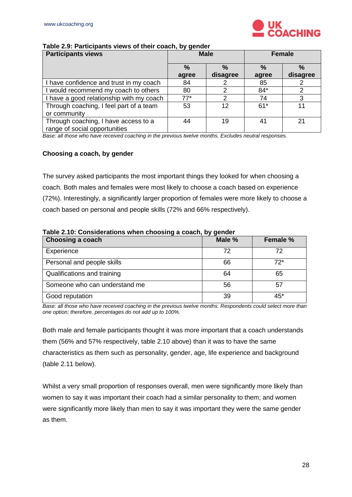

#### **Table 2.9: Participants views of their coach, by gender**

| <b>Participants views</b>                | <b>Male</b>   |          | Female        |          |
|------------------------------------------|---------------|----------|---------------|----------|
|                                          | $\frac{0}{0}$ | $\%$     | $\frac{0}{2}$ | $\%$     |
|                                          | agree         | disagree | agree         | disagree |
| I have confidence and trust in my coach  | 84            |          | 85            |          |
| I would recommend my coach to others     | 80            | າ        | $84*$         | າ        |
| I have a good relationship with my coach | $77*$         |          | 74            |          |
| Through coaching, I feel part of a team  | 53            | 12       | $61*$         | 11       |
| or community                             |               |          |               |          |
| Through coaching, I have access to a     | 44            | 19       | 41            | 21       |
| range of social opportunities            |               |          |               |          |

*Base: all those who have received coaching in the previous twelve months. Excludes neutral responses.*

#### <span id="page-27-0"></span>**Choosing a coach, by gender**

The survey asked participants the most important things they looked for when choosing a coach. Both males and females were most likely to choose a coach based on experience (72%). Interestingly, a significantly larger proportion of females were more likely to choose a coach based on personal and people skills (72% and 66% respectively).

#### **Table 2.10: Considerations when choosing a coach, by gender**

| Choosing a coach              | Male % | <b>Female %</b> |
|-------------------------------|--------|-----------------|
| Experience                    | 72     | 72              |
| Personal and people skills    | 66     | $72*$           |
| Qualifications and training   | 64     | 65              |
| Someone who can understand me | 56     | 57              |
| Good reputation               | 39     | 45*             |

*Base: all those who have received coaching in the previous twelve months. Respondents could select more than one option; therefore, percentages do not add up to 100%.*

Both male and female participants thought it was more important that a coach understands them (56% and 57% respectively, table 2.10 above) than it was to have the same characteristics as them such as personality, gender, age, life experience and background (table 2.11 below).

Whilst a very small proportion of responses overall, men were significantly more likely than women to say it was important their coach had a similar personality to them; and women were significantly more likely than men to say it was important they were the same gender as them.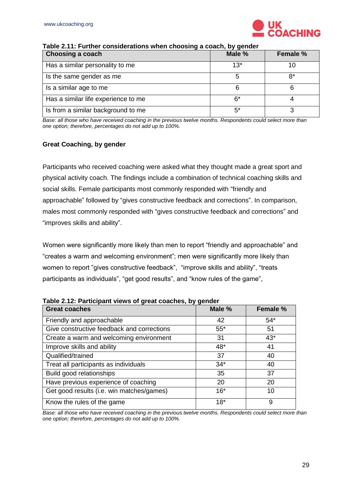

| <b>Choosing a coach</b>             | Male % | <b>Female %</b> |
|-------------------------------------|--------|-----------------|
| Has a similar personality to me     | $13*$  |                 |
| Is the same gender as me            | 5      | R*              |
| Is a similar age to me              | 6      |                 |
| Has a similar life experience to me | ჩ*     |                 |
| Is from a similar background to me  | $5^*$  |                 |

#### **Table 2.11: Further considerations when choosing a coach, by gender**

*Base: all those who have received coaching in the previous twelve months. Respondents could select more than one option; therefore, percentages do not add up to 100%.*

#### <span id="page-28-0"></span>**Great Coaching, by gender**

Participants who received coaching were asked what they thought made a great sport and physical activity coach. The findings include a combination of technical coaching skills and social skills. Female participants most commonly responded with "friendly and approachable" followed by "gives constructive feedback and corrections". In comparison, males most commonly responded with "gives constructive feedback and corrections" and "improves skills and ability".

Women were significantly more likely than men to report "friendly and approachable" and "creates a warm and welcoming environment"; men were significantly more likely than women to report "gives constructive feedback", "improve skills and ability", "treats participants as individuals", "get good results", and "know rules of the game",

| <b>Great coaches</b>                       | Male % | Female % |
|--------------------------------------------|--------|----------|
| Friendly and approachable                  | 42     | $54*$    |
| Give constructive feedback and corrections | $55*$  | 51       |
| Create a warm and welcoming environment    | 31     | $43*$    |
| Improve skills and ability                 | 48*    | 41       |
| Qualified/trained                          | 37     | 40       |
| Treat all participants as individuals      | $34*$  | 40       |
| Build good relationships                   | 35     | 37       |
| Have previous experience of coaching       | 20     | 20       |
| Get good results (i.e. win matches/games)  | $16*$  | 10       |
| Know the rules of the game                 | $18*$  | 9        |

**Table 2.12: Participant views of great coaches, by gender**

*Base: all those who have received coaching in the previous twelve months. Respondents could select more than one option; therefore, percentages do not add up to 100%.*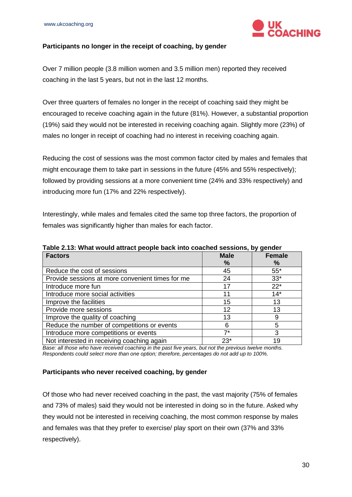

#### <span id="page-29-0"></span>**Participants no longer in the receipt of coaching, by gender**

Over 7 million people (3.8 million women and 3.5 million men) reported they received coaching in the last 5 years, but not in the last 12 months.

Over three quarters of females no longer in the receipt of coaching said they might be encouraged to receive coaching again in the future (81%). However, a substantial proportion (19%) said they would not be interested in receiving coaching again. Slightly more (23%) of males no longer in receipt of coaching had no interest in receiving coaching again.

Reducing the cost of sessions was the most common factor cited by males and females that might encourage them to take part in sessions in the future (45% and 55% respectively); followed by providing sessions at a more convenient time (24% and 33% respectively) and introducing more fun (17% and 22% respectively).

Interestingly, while males and females cited the same top three factors, the proportion of females was significantly higher than males for each factor.

| <b>Factors</b>                                   | <b>Male</b> | <b>Female</b> |  |
|--------------------------------------------------|-------------|---------------|--|
|                                                  | %           | %             |  |
| Reduce the cost of sessions                      | 45          | $55*$         |  |
| Provide sessions at more convenient times for me | 24          | $33*$         |  |
| Introduce more fun                               | 17          | $22*$         |  |
| Introduce more social activities                 | 11          | $14*$         |  |
| Improve the facilities                           | 15          | 13            |  |
| Provide more sessions                            | 12          | 13            |  |
| Improve the quality of coaching                  | 13          |               |  |
| Reduce the number of competitions or events      |             |               |  |
| Introduce more competitions or events            | 7*          |               |  |

**Table 2.13: What would attract people back into coached sessions, by gender**

Not interested in receiving coaching again 19 *Base: all those who have received coaching in the past five years, but not the previous twelve months. Respondents could select more than one option; therefore, percentages do not add up to 100%.*

#### <span id="page-29-1"></span>**Participants who never received coaching, by gender**

Of those who had never received coaching in the past, the vast majority (75% of females and 73% of males) said they would not be interested in doing so in the future. Asked why they would not be interested in receiving coaching, the most common response by males and females was that they prefer to exercise/ play sport on their own (37% and 33% respectively).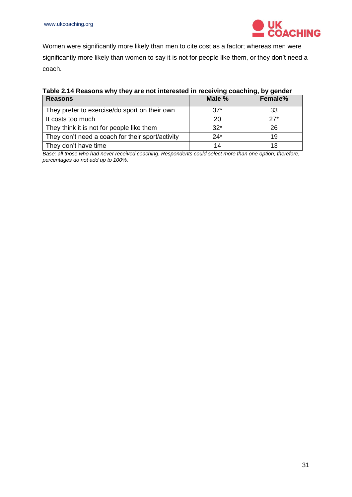

Women were significantly more likely than men to cite cost as a factor; whereas men were significantly more likely than women to say it is not for people like them, or they don't need a coach.

| Table 2.14 Reasons why they are not interested in receiving coaching, by gender |
|---------------------------------------------------------------------------------|
|---------------------------------------------------------------------------------|

| <b>Reasons</b>                                   | Male % | Female% |
|--------------------------------------------------|--------|---------|
| They prefer to exercise/do sport on their own    | $37*$  | 33      |
| It costs too much                                | 20     | $27*$   |
| They think it is not for people like them        | $32*$  | 26      |
| They don't need a coach for their sport/activity | $24*$  | 19      |
| They don't have time                             | 14     | 13      |

*Base: all those who had never received coaching. Respondents could select more than one option; therefore, percentages do not add up to 100%.*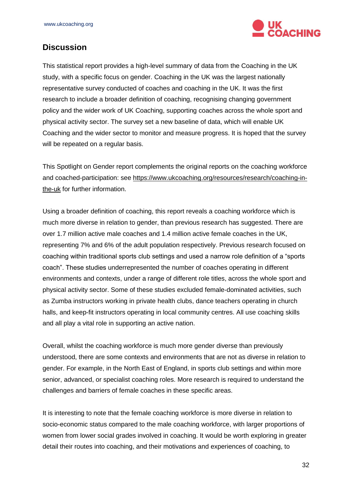

## <span id="page-31-0"></span>**Discussion**

This statistical report provides a high-level summary of data from the Coaching in the UK study, with a specific focus on gender. Coaching in the UK was the largest nationally representative survey conducted of coaches and coaching in the UK. It was the first research to include a broader definition of coaching, recognising changing government policy and the wider work of UK Coaching, supporting coaches across the whole sport and physical activity sector. The survey set a new baseline of data, which will enable UK Coaching and the wider sector to monitor and measure progress. It is hoped that the survey will be repeated on a regular basis.

This Spotlight on Gender report complements the original reports on the coaching workforce and coached-participation: see [https://www.ukcoaching.org/resources/research/coaching-in](https://www.ukcoaching.org/resources/research/coaching-in-the-uk)[the-uk](https://www.ukcoaching.org/resources/research/coaching-in-the-uk) for further information.

Using a broader definition of coaching, this report reveals a coaching workforce which is much more diverse in relation to gender, than previous research has suggested. There are over 1.7 million active male coaches and 1.4 million active female coaches in the UK, representing 7% and 6% of the adult population respectively. Previous research focused on coaching within traditional sports club settings and used a narrow role definition of a "sports coach". These studies underrepresented the number of coaches operating in different environments and contexts, under a range of different role titles, across the whole sport and physical activity sector. Some of these studies excluded female-dominated activities, such as Zumba instructors working in private health clubs, dance teachers operating in church halls, and keep-fit instructors operating in local community centres. All use coaching skills and all play a vital role in supporting an active nation.

Overall, whilst the coaching workforce is much more gender diverse than previously understood, there are some contexts and environments that are not as diverse in relation to gender. For example, in the North East of England, in sports club settings and within more senior, advanced, or specialist coaching roles. More research is required to understand the challenges and barriers of female coaches in these specific areas.

It is interesting to note that the female coaching workforce is more diverse in relation to socio-economic status compared to the male coaching workforce, with larger proportions of women from lower social grades involved in coaching. It would be worth exploring in greater detail their routes into coaching, and their motivations and experiences of coaching, to